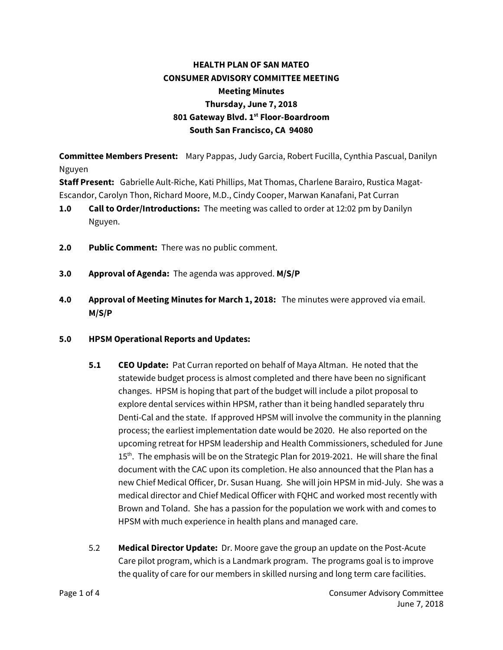## **HEALTH PLAN OF SAN MATEO CONSUMER ADVISORY COMMITTEE MEETING Meeting Minutes Thursday, June 7, 2018 801 Gateway Blvd. 1st Floor-Boardroom South San Francisco, CA 94080**

**Committee Members Present:** Mary Pappas, Judy Garcia, Robert Fucilla, Cynthia Pascual, Danilyn Nguyen

**Staff Present:** Gabrielle Ault-Riche, Kati Phillips, Mat Thomas, Charlene Barairo, Rustica Magat-Escandor, Carolyn Thon, Richard Moore, M.D., Cindy Cooper, Marwan Kanafani, Pat Curran

- **1.0 Call to Order/Introductions:** The meeting was called to order at 12:02 pm by Danilyn Nguyen.
- **2.0 Public Comment:** There was no public comment.
- **3.0 Approval of Agenda:** The agenda was approved. **M/S/P**
- **4.0 Approval of Meeting Minutes for March 1, 2018:** The minutes were approved via email. **M/S/P**
- **5.0 HPSM Operational Reports and Updates:** 
	- **5.1 CEO Update:** Pat Curran reported on behalf of Maya Altman. He noted that the statewide budget process is almost completed and there have been no significant changes. HPSM is hoping that part of the budget will include a pilot proposal to explore dental services within HPSM, rather than it being handled separately thru Denti-Cal and the state. If approved HPSM will involve the community in the planning process; the earliest implementation date would be 2020. He also reported on the upcoming retreat for HPSM leadership and Health Commissioners, scheduled for June 15<sup>th</sup>. The emphasis will be on the Strategic Plan for 2019-2021. He will share the final document with the CAC upon its completion. He also announced that the Plan has a new Chief Medical Officer, Dr. Susan Huang. She will join HPSM in mid-July. She was a medical director and Chief Medical Officer with FQHC and worked most recently with Brown and Toland. She has a passion for the population we work with and comes to HPSM with much experience in health plans and managed care.
	- 5.2 **Medical Director Update:** Dr. Moore gave the group an update on the Post-Acute Care pilot program, which is a Landmark program. The programs goal is to improve the quality of care for our members in skilled nursing and long term care facilities.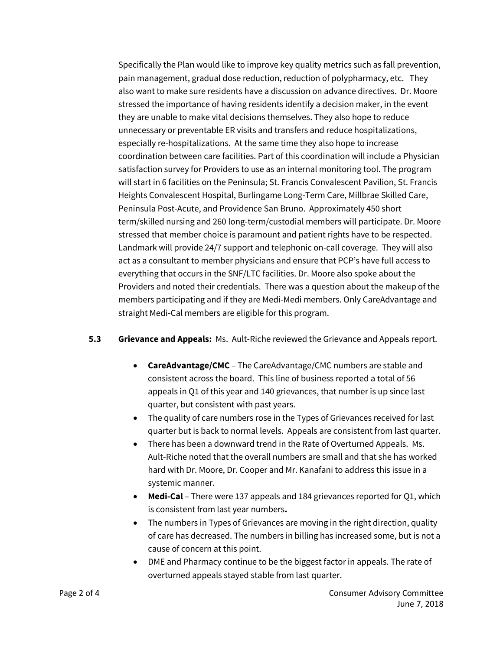Specifically the Plan would like to improve key quality metrics such as fall prevention, pain management, gradual dose reduction, reduction of polypharmacy, etc. They also want to make sure residents have a discussion on advance directives. Dr. Moore stressed the importance of having residents identify a decision maker, in the event they are unable to make vital decisions themselves. They also hope to reduce unnecessary or preventable ER visits and transfers and reduce hospitalizations, especially re-hospitalizations. At the same time they also hope to increase coordination between care facilities. Part of this coordination will include a Physician satisfaction survey for Providers to use as an internal monitoring tool. The program will start in 6 facilities on the Peninsula; St. Francis Convalescent Pavilion, St. Francis Heights Convalescent Hospital, Burlingame Long-Term Care, Millbrae Skilled Care, Peninsula Post-Acute, and Providence San Bruno. Approximately 450 short term/skilled nursing and 260 long-term/custodial members will participate. Dr. Moore stressed that member choice is paramount and patient rights have to be respected. Landmark will provide 24/7 support and telephonic on-call coverage. They will also act as a consultant to member physicians and ensure that PCP's have full access to everything that occurs in the SNF/LTC facilities. Dr. Moore also spoke about the Providers and noted their credentials. There was a question about the makeup of the members participating and if they are Medi-Medi members. Only CareAdvantage and straight Medi-Cal members are eligible for this program.

## **5.3 Grievance and Appeals:** Ms. Ault-Riche reviewed the Grievance and Appeals report.

- **CareAdvantage/CMC** The CareAdvantage/CMC numbers are stable and consistent across the board. This line of business reported a total of 56 appeals in Q1 of this year and 140 grievances, that number is up since last quarter, but consistent with past years.
- The quality of care numbers rose in the Types of Grievances received for last quarter but is back to normal levels. Appeals are consistent from last quarter.
- There has been a downward trend in the Rate of Overturned Appeals. Ms. Ault-Riche noted that the overall numbers are small and that she has worked hard with Dr. Moore, Dr. Cooper and Mr. Kanafani to address this issue in a systemic manner.
- **Medi-Cal** There were 137 appeals and 184 grievances reported for Q1, which is consistent from last year numbers**.**
- The numbers in Types of Grievances are moving in the right direction, quality of care has decreased. The numbers in billing has increased some, but is not a cause of concern at this point.
- DME and Pharmacy continue to be the biggest factor in appeals. The rate of overturned appeals stayed stable from last quarter.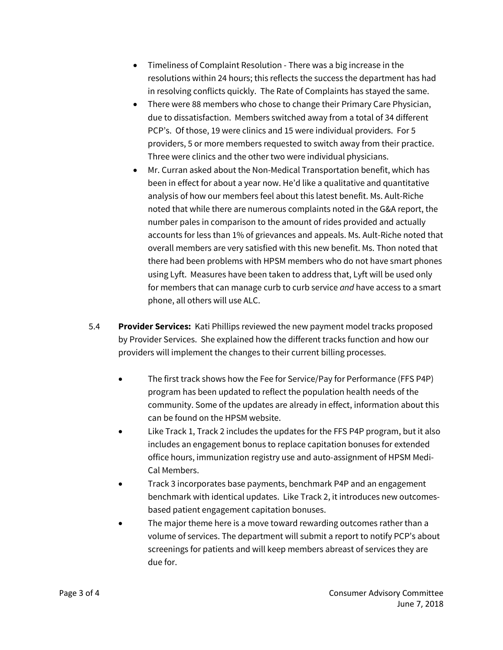- Timeliness of Complaint Resolution There was a big increase in the resolutions within 24 hours; this reflects the success the department has had in resolving conflicts quickly. The Rate of Complaints has stayed the same.
- There were 88 members who chose to change their Primary Care Physician, due to dissatisfaction. Members switched away from a total of 34 different PCP's. Of those, 19 were clinics and 15 were individual providers. For 5 providers, 5 or more members requested to switch away from their practice. Three were clinics and the other two were individual physicians.
- Mr. Curran asked about the Non-Medical Transportation benefit, which has been in effect for about a year now. He'd like a qualitative and quantitative analysis of how our members feel about this latest benefit. Ms. Ault-Riche noted that while there are numerous complaints noted in the G&A report, the number pales in comparison to the amount of rides provided and actually accounts for less than 1% of grievances and appeals. Ms. Ault-Riche noted that overall members are very satisfied with this new benefit. Ms. Thon noted that there had been problems with HPSM members who do not have smart phones using Lyft. Measures have been taken to address that, Lyft will be used only for members that can manage curb to curb service *and* have access to a smart phone, all others will use ALC.
- 5.4 **Provider Services:** Kati Phillips reviewed the new payment model tracks proposed by Provider Services. She explained how the different tracks function and how our providers will implement the changes to their current billing processes.
	- The first track shows how the Fee for Service/Pay for Performance (FFS P4P) program has been updated to reflect the population health needs of the community. Some of the updates are already in effect, information about this can be found on the HPSM website.
	- Like Track 1, Track 2 includes the updates for the FFS P4P program, but it also includes an engagement bonus to replace capitation bonuses for extended office hours, immunization registry use and auto-assignment of HPSM Medi-Cal Members.
	- Track 3 incorporates base payments, benchmark P4P and an engagement benchmark with identical updates. Like Track 2, it introduces new outcomesbased patient engagement capitation bonuses.
	- The major theme here is a move toward rewarding outcomes rather than a volume of services. The department will submit a report to notify PCP's about screenings for patients and will keep members abreast of services they are due for.